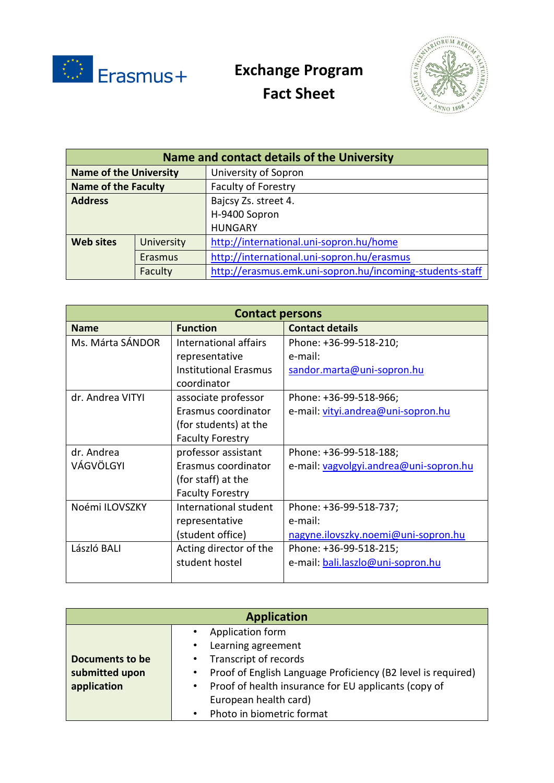

## **Exchange Program**

**Fact Sheet**



| Name and contact details of the University |            |                                                          |
|--------------------------------------------|------------|----------------------------------------------------------|
| <b>Name of the University</b>              |            | University of Sopron                                     |
| <b>Name of the Faculty</b>                 |            | Faculty of Forestry                                      |
| <b>Address</b>                             |            | Bajcsy Zs. street 4.                                     |
|                                            |            | H-9400 Sopron                                            |
|                                            |            | <b>HUNGARY</b>                                           |
| <b>Web sites</b>                           | University | http://international.uni-sopron.hu/home                  |
|                                            | Erasmus    | http://international.uni-sopron.hu/erasmus               |
|                                            | Faculty    | http://erasmus.emk.uni-sopron.hu/incoming-students-staff |

| <b>Contact persons</b> |                              |                                        |  |
|------------------------|------------------------------|----------------------------------------|--|
| <b>Name</b>            | <b>Function</b>              | <b>Contact details</b>                 |  |
| Ms. Márta SÁNDOR       | International affairs        | Phone: +36-99-518-210;                 |  |
|                        | representative               | e-mail:                                |  |
|                        | <b>Institutional Erasmus</b> | sandor.marta@uni-sopron.hu             |  |
|                        | coordinator                  |                                        |  |
| dr. Andrea VITYI       | associate professor          | Phone: +36-99-518-966;                 |  |
|                        | Erasmus coordinator          | e-mail: vityi.andrea@uni-sopron.hu     |  |
|                        | (for students) at the        |                                        |  |
|                        | <b>Faculty Forestry</b>      |                                        |  |
| dr. Andrea             | professor assistant          | Phone: +36-99-518-188;                 |  |
| VÁGVÖLGYI              | Erasmus coordinator          | e-mail: vagvolgyi.andrea@uni-sopron.hu |  |
|                        | (for staff) at the           |                                        |  |
|                        | <b>Faculty Forestry</b>      |                                        |  |
| Noémi ILOVSZKY         | International student        | Phone: +36-99-518-737;                 |  |
|                        | representative               | e-mail:                                |  |
|                        | (student office)             | nagyne.ilovszky.noemi@uni-sopron.hu    |  |
| László BALI            | Acting director of the       | Phone: +36-99-518-215;                 |  |
|                        | student hostel               | e-mail: bali.laszlo@uni-sopron.hu      |  |
|                        |                              |                                        |  |

| <b>Application</b> |  |                                                              |
|--------------------|--|--------------------------------------------------------------|
|                    |  | Application form                                             |
|                    |  | Learning agreement                                           |
| Documents to be    |  | • Transcript of records                                      |
| submitted upon     |  | Proof of English Language Proficiency (B2 level is required) |
| application        |  | Proof of health insurance for EU applicants (copy of         |
|                    |  | European health card)                                        |
|                    |  | Photo in biometric format                                    |